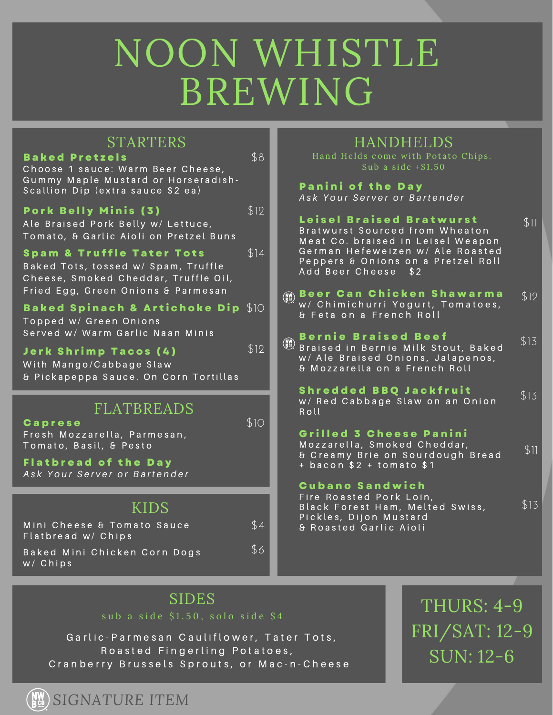## NOON WHISTLE BREWING

| <b>STARTERS</b><br><b>Baked Pretzels</b>                                                                            | \$8  | <b>HANDHELDS</b><br>Hand Helds come with Potato Chips.<br>Sub a side $+ $1.50$                            |      |
|---------------------------------------------------------------------------------------------------------------------|------|-----------------------------------------------------------------------------------------------------------|------|
| Choose 1 sauce: Warm Beer Cheese,<br>Gummy Maple Mustard or Horseradish-<br>Scallion Dip (extra sauce \$2 ea)       |      | <b>Panini of the Day</b><br>Ask Your Server or Bartender                                                  |      |
| <b>Pork Belly Minis (3)</b><br>Ale Braised Pork Belly w/ Lettuce,<br>Tomato, & Garlic Aioli on Pretzel Buns         | \$12 | <b>Leisel Braised Bratwurst</b><br>Bratwurst Sourced from Wheaton<br>Meat Co. braised in Leisel Weapon    | \$11 |
| <b>Spam &amp; Truffle Tater Tots</b><br>Baked Tots, tossed w/ Spam, Truffle<br>Cheese, Smoked Cheddar, Truffle Oil, | \$14 | German Hefeweizen w/ Ale Roasted<br>Peppers & Onions on a Pretzel Roll<br>Add Beer Cheese \$2             |      |
| Fried Egg, Green Onions & Parmesan                                                                                  |      | Beer Can Chicken Shawarma<br>$\binom{NN}{B}$<br>w/ Chimichurri Yogurt, Tomatoes,                          | \$12 |
| Baked Spinach & Artichoke Dip \$10<br>Topped w/ Green Onions                                                        |      | & Feta on a French Roll                                                                                   |      |
| Served w/ Warm Garlic Naan Minis                                                                                    |      | <b>Bernie Braised Beef</b><br>$\binom{NN}{B^{c}}$                                                         | \$13 |
| <b>Jerk Shrimp Tacos (4)</b><br>With Mango/Cabbage Slaw<br>& Pickapeppa Sauce. On Corn Tortillas                    | \$12 | Braised in Bernie Milk Stout, Baked<br>w/ Ale Braised Onions, Jalapenos,<br>& Mozzarella on a French Roll |      |
|                                                                                                                     |      | <b>Shredded BBQ Jackfruit</b>                                                                             | \$13 |
| <b>FLATBREADS</b>                                                                                                   | \$10 | w/ Red Cabbage Slaw on an Onion<br>Roll                                                                   |      |
| Caprese<br>Fresh Mozzarella, Parmesan,                                                                              |      | Grilled 3 Cheese Panini                                                                                   |      |
| Tomato, Basil, & Pesto                                                                                              |      | Mozzarella, Smoked Cheddar,<br>& Creamy Brie on Sourdough Bread                                           | \$11 |
| <b>Flatbread of the Day</b><br>Ask Your Server or Bartender                                                         |      | $+$ bacon \$2 + tomato \$1                                                                                |      |
|                                                                                                                     |      | Cubano Sandwich<br>Fire Roasted Pork Loin,                                                                |      |
| <b>KIDS</b>                                                                                                         |      | Black Forest Ham, Melted Swiss,<br>Pickles, Dijon Mustard<br>& Roasted Garlic Aioli                       | \$13 |
| Mini Cheese & Tomato Sauce<br>Flatbread w/ Chips                                                                    | \$4  |                                                                                                           |      |
| Baked Mini Chicken Corn Dogs<br>$W / C$ hips                                                                        | \$6  |                                                                                                           |      |

sub a side  $$1.50$ , solo side  $$4$ 

Garlic-Parmesan Cauliflower, Tater Tots, Roasted Fingerling Potatoes, Cranberry Brussels Sprouts, or Mac-n-Cheese

SIDES THURS: 4-9 FRI/SAT: 12-9 SUN: 12-6

*SIGNATURE ITEM*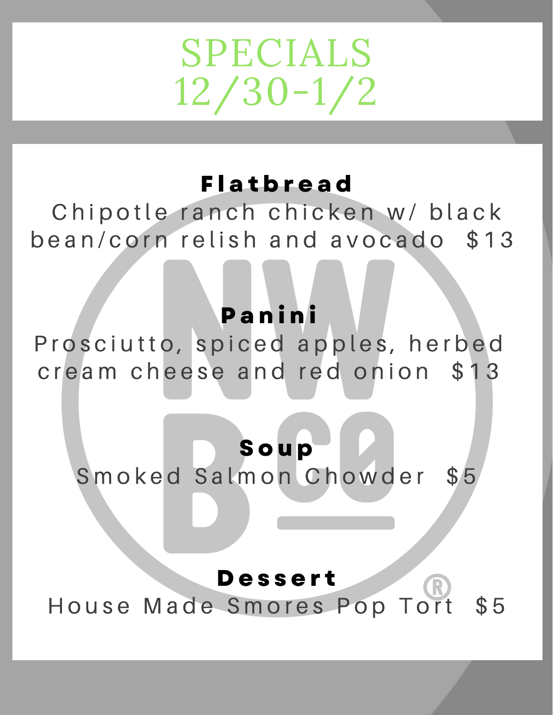# SPECIALS 12/30-1/2

#### **F l a t b r e a d**

Chipotle ranch chicken w/ black bean/corn relish and avocado \$13

### **P a n i n i**

Prosciutto, spiced apples, herbed cream cheese and red onion \$13

## **S o u p**

Smoked Salmon Chowder \$5

#### **D e s s e r t**

House Made Smores Pop Tort \$5